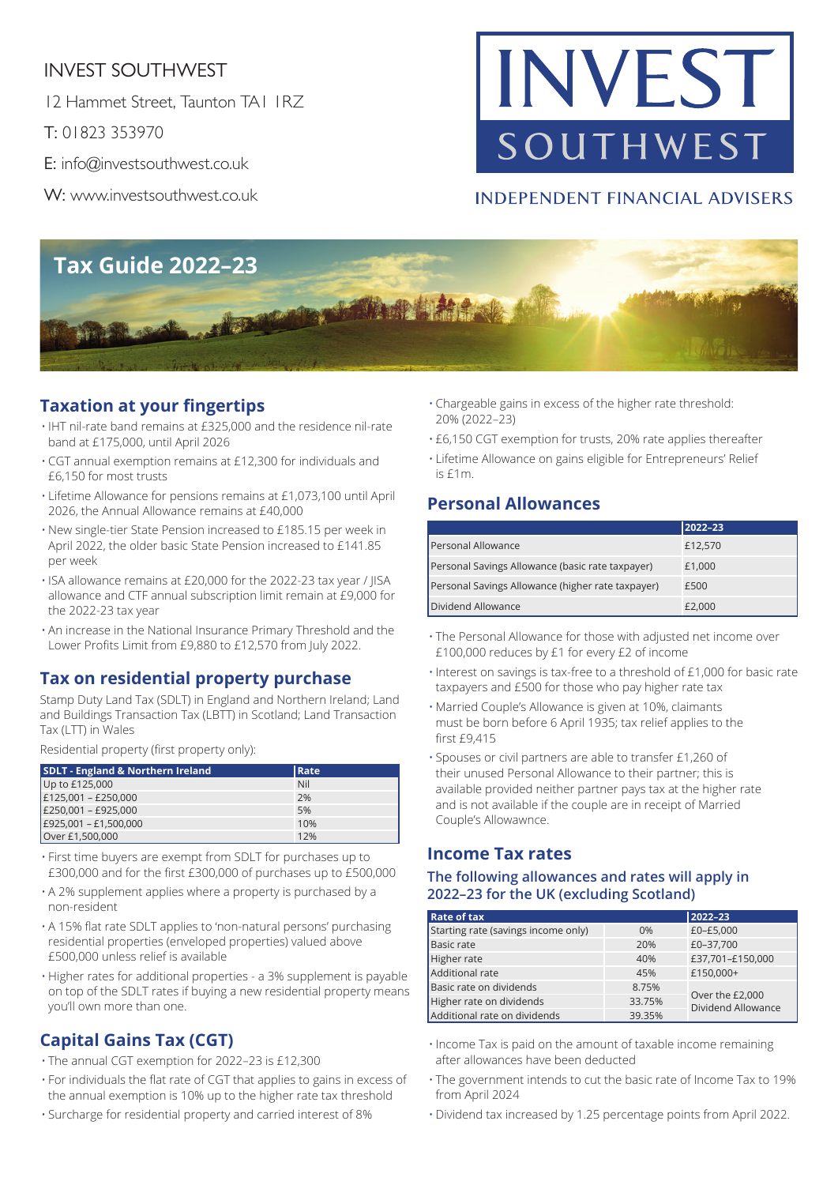# INVEST SOUTHWEST

12 Hammet Street, Taunton TA1 1RZ

T: 01823 353970

E: info@investsouthwest.co.uk

W: www.investsouthwest.co.uk

# INVEST SOUTHWEST

## **INDEPENDENT FINANCIAL ADVISERS**



## **Taxation at your fingertips**

- IHT nil-rate band remains at £325,000 and the residence nil-rate band at £175,000, until April 2026
- CGT annual exemption remains at £12,300 for individuals and £6,150 for most trusts
- Lifetime Allowance for pensions remains at £1,073,100 until April 2026, the Annual Allowance remains at £40,000
- New single-tier State Pension increased to £185.15 per week in April 2022, the older basic State Pension increased to £141.85 per week
- ISA allowance remains at £20,000 for the 2022-23 tax year / JISA allowance and CTF annual subscription limit remain at £9,000 for the 2022-23 tax year
- An increase in the National Insurance Primary Threshold and the Lower Profits Limit from £9,880 to £12,570 from July 2022.

#### **Tax on residential property purchase**

Stamp Duty Land Tax (SDLT) in England and Northern Ireland; Land and Buildings Transaction Tax (LBTT) in Scotland; Land Transaction Tax (LTT) in Wales

Residential property (first property only):

| <b>SDLT - England &amp; Northern Ireland</b> | <b>Rate</b> |
|----------------------------------------------|-------------|
| Up to £125,000                               | Nil         |
| $E125,001 - E250,000$                        | 2%          |
| E250,001 - £925,000                          | 5%          |
| E925,001 - £1,500,000                        | 10%         |
| Over £1,500,000                              | 12%         |

- First time buyers are exempt from SDLT for purchases up to £300,000 and for the first £300,000 of purchases up to £500,000
- A 2% supplement applies where a property is purchased by a non-resident
- A 15% flat rate SDLT applies to 'non-natural persons' purchasing residential properties (enveloped properties) valued above £500,000 unless relief is available
- Higher rates for additional properties a 3% supplement is payable on top of the SDLT rates if buying a new residential property means you'll own more than one.

# **Capital Gains Tax (CGT)**

- The annual CGT exemption for 2022–23 is £12,300
- For individuals the flat rate of CGT that applies to gains in excess of the annual exemption is 10% up to the higher rate tax threshold
- Surcharge for residential property and carried interest of 8%
- Chargeable gains in excess of the higher rate threshold: 20% (2022–23)
- £6,150 CGT exemption for trusts, 20% rate applies thereafter
- Lifetime Allowance on gains eligible for Entrepreneurs' Relief is £1m.

### **Personal Allowances**

|                                                   | 2022-23 |
|---------------------------------------------------|---------|
| Personal Allowance                                | £12,570 |
| Personal Savings Allowance (basic rate taxpayer)  | £1,000  |
| Personal Savings Allowance (higher rate taxpayer) | £500    |
| Dividend Allowance                                | £2.000  |

- The Personal Allowance for those with adjusted net income over £100,000 reduces by £1 for every £2 of income
- Interest on savings is tax-free to a threshold of £1,000 for basic rate taxpayers and £500 for those who pay higher rate tax
- Married Couple's Allowance is given at 10%, claimants must be born before 6 April 1935; tax relief applies to the first £9,415
- Spouses or civil partners are able to transfer £1,260 of their unused Personal Allowance to their partner; this is available provided neither partner pays tax at the higher rate and is not available if the couple are in receipt of Married Couple's Allowawnce.

#### **Income Tax rates**

#### **The following allowances and rates will apply in 2022–23 for the UK (excluding Scotland)**

| <b>Rate of tax</b>                  |        | 2022-23                               |  |
|-------------------------------------|--------|---------------------------------------|--|
| Starting rate (savings income only) | 0%     | £0-£5,000                             |  |
| <b>Basic rate</b>                   | 20%    | £0-37,700                             |  |
| Higher rate                         | 40%    | £37,701-£150,000                      |  |
| Additional rate                     | 45%    | £150,000+                             |  |
| Basic rate on dividends             | 8.75%  | Over the £2,000<br>Dividend Allowance |  |
| Higher rate on dividends            | 33.75% |                                       |  |
| Additional rate on dividends        | 39.35% |                                       |  |

- Income Tax is paid on the amount of taxable income remaining after allowances have been deducted
- The government intends to cut the basic rate of Income Tax to 19% from April 2024
- Dividend tax increased by 1.25 percentage points from April 2022.